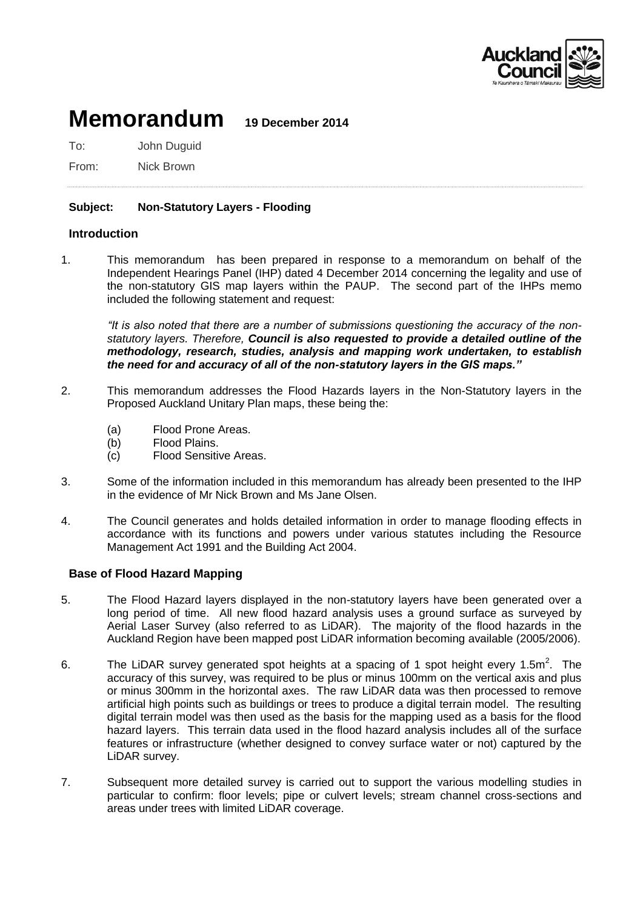

# **Memorandum 19 December 2014**

To: John Duguid

From: Nick Brown

## **Subject: Non-Statutory Layers - Flooding**

## **Introduction**

1. This memorandum has been prepared in response to a memorandum on behalf of the Independent Hearings Panel (IHP) dated 4 December 2014 concerning the legality and use of the non-statutory GIS map layers within the PAUP. The second part of the IHPs memo included the following statement and request:

*"It is also noted that there are a number of submissions questioning the accuracy of the nonstatutory layers. Therefore, Council is also requested to provide a detailed outline of the methodology, research, studies, analysis and mapping work undertaken, to establish the need for and accuracy of all of the non-statutory layers in the GIS maps."*

- 2. This memorandum addresses the Flood Hazards layers in the Non-Statutory layers in the Proposed Auckland Unitary Plan maps, these being the:
	- (a) Flood Prone Areas.
	- (b) Flood Plains.
	- (c) Flood Sensitive Areas.
- 3. Some of the information included in this memorandum has already been presented to the IHP in the evidence of Mr Nick Brown and Ms Jane Olsen.
- 4. The Council generates and holds detailed information in order to manage flooding effects in accordance with its functions and powers under various statutes including the Resource Management Act 1991 and the Building Act 2004.

## **Base of Flood Hazard Mapping**

- 5. The Flood Hazard layers displayed in the non-statutory layers have been generated over a long period of time. All new flood hazard analysis uses a ground surface as surveyed by Aerial Laser Survey (also referred to as LiDAR). The majority of the flood hazards in the Auckland Region have been mapped post LiDAR information becoming available (2005/2006).
- 6. The LiDAR survey generated spot heights at a spacing of 1 spot height every 1.5 $m^2$ . The accuracy of this survey, was required to be plus or minus 100mm on the vertical axis and plus or minus 300mm in the horizontal axes. The raw LiDAR data was then processed to remove artificial high points such as buildings or trees to produce a digital terrain model. The resulting digital terrain model was then used as the basis for the mapping used as a basis for the flood hazard layers. This terrain data used in the flood hazard analysis includes all of the surface features or infrastructure (whether designed to convey surface water or not) captured by the LiDAR survey.
- 7. Subsequent more detailed survey is carried out to support the various modelling studies in particular to confirm: floor levels; pipe or culvert levels; stream channel cross-sections and areas under trees with limited LiDAR coverage.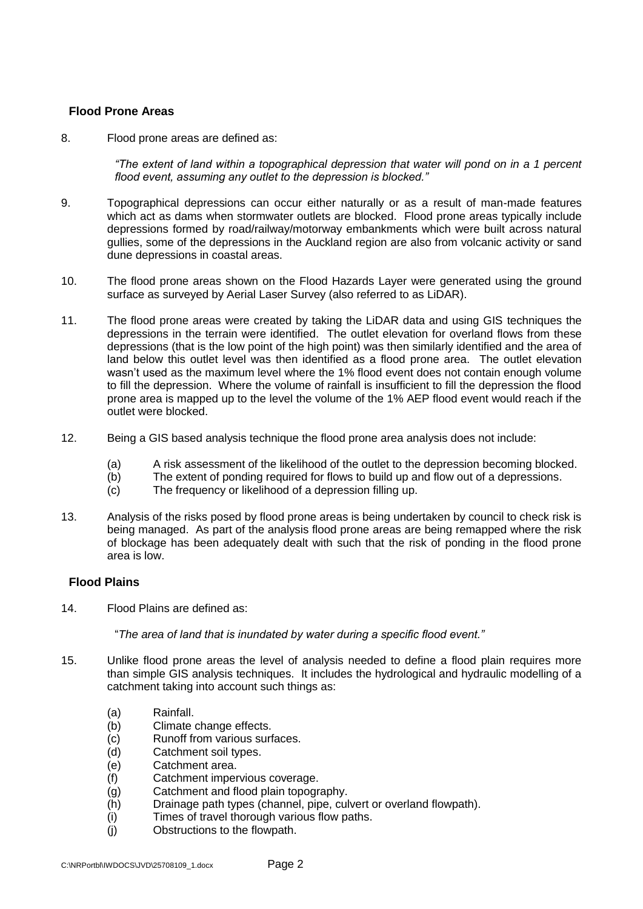## **Flood Prone Areas**

8. Flood prone areas are defined as:

*"The extent of land within a topographical depression that water will pond on in a 1 percent flood event, assuming any outlet to the depression is blocked."*

- 9. Topographical depressions can occur either naturally or as a result of man-made features which act as dams when stormwater outlets are blocked. Flood prone areas typically include depressions formed by road/railway/motorway embankments which were built across natural gullies, some of the depressions in the Auckland region are also from volcanic activity or sand dune depressions in coastal areas.
- 10. The flood prone areas shown on the Flood Hazards Layer were generated using the ground surface as surveyed by Aerial Laser Survey (also referred to as LiDAR).
- 11. The flood prone areas were created by taking the LiDAR data and using GIS techniques the depressions in the terrain were identified. The outlet elevation for overland flows from these depressions (that is the low point of the high point) was then similarly identified and the area of land below this outlet level was then identified as a flood prone area. The outlet elevation wasn't used as the maximum level where the 1% flood event does not contain enough volume to fill the depression. Where the volume of rainfall is insufficient to fill the depression the flood prone area is mapped up to the level the volume of the 1% AEP flood event would reach if the outlet were blocked.
- 12. Being a GIS based analysis technique the flood prone area analysis does not include:
	- (a) A risk assessment of the likelihood of the outlet to the depression becoming blocked.
	- (b) The extent of ponding required for flows to build up and flow out of a depressions.
	- (c) The frequency or likelihood of a depression filling up.
- 13. Analysis of the risks posed by flood prone areas is being undertaken by council to check risk is being managed. As part of the analysis flood prone areas are being remapped where the risk of blockage has been adequately dealt with such that the risk of ponding in the flood prone area is low.

#### **Flood Plains**

14. Flood Plains are defined as:

"*The area of land that is inundated by water during a specific flood event."*

- 15. Unlike flood prone areas the level of analysis needed to define a flood plain requires more than simple GIS analysis techniques. It includes the hydrological and hydraulic modelling of a catchment taking into account such things as:
	- (a) Rainfall.
	- (b) Climate change effects.
	- (c) Runoff from various surfaces.
	- (d) Catchment soil types.
	- (e) Catchment area.
	- (f) Catchment impervious coverage.
	- (g) Catchment and flood plain topography.
	- (h) Drainage path types (channel, pipe, culvert or overland flowpath).
	- (i) Times of travel thorough various flow paths.
	- (j) Obstructions to the flowpath.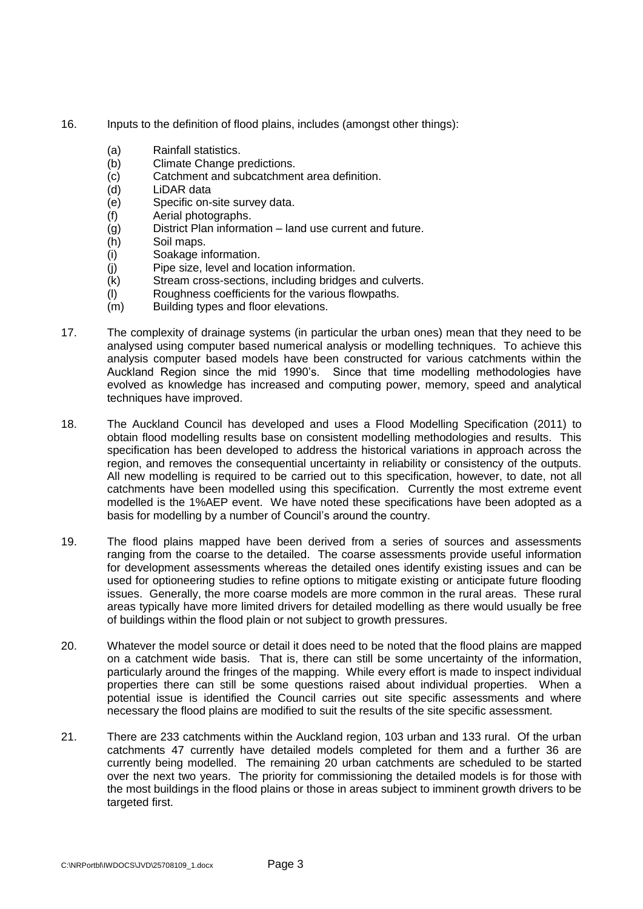- 16. Inputs to the definition of flood plains, includes (amongst other things):
	- (a) Rainfall statistics.
	- (b) Climate Change predictions.
	- (c) Catchment and subcatchment area definition.
	- (d) LiDAR data
	- (e) Specific on-site survey data.
	- (f) Aerial photographs.
	- (g) District Plan information land use current and future.
	- (h) Soil maps.
	- (i) Soakage information.
	- (j) Pipe size, level and location information.
	- (k) Stream cross-sections, including bridges and culverts.
	- (l) Roughness coefficients for the various flowpaths.
	- (m) Building types and floor elevations.
- 17. The complexity of drainage systems (in particular the urban ones) mean that they need to be analysed using computer based numerical analysis or modelling techniques. To achieve this analysis computer based models have been constructed for various catchments within the Auckland Region since the mid 1990's. Since that time modelling methodologies have evolved as knowledge has increased and computing power, memory, speed and analytical techniques have improved.
- 18. The Auckland Council has developed and uses a Flood Modelling Specification (2011) to obtain flood modelling results base on consistent modelling methodologies and results. This specification has been developed to address the historical variations in approach across the region, and removes the consequential uncertainty in reliability or consistency of the outputs. All new modelling is required to be carried out to this specification, however, to date, not all catchments have been modelled using this specification. Currently the most extreme event modelled is the 1%AEP event. We have noted these specifications have been adopted as a basis for modelling by a number of Council's around the country.
- 19. The flood plains mapped have been derived from a series of sources and assessments ranging from the coarse to the detailed. The coarse assessments provide useful information for development assessments whereas the detailed ones identify existing issues and can be used for optioneering studies to refine options to mitigate existing or anticipate future flooding issues. Generally, the more coarse models are more common in the rural areas. These rural areas typically have more limited drivers for detailed modelling as there would usually be free of buildings within the flood plain or not subject to growth pressures.
- 20. Whatever the model source or detail it does need to be noted that the flood plains are mapped on a catchment wide basis. That is, there can still be some uncertainty of the information, particularly around the fringes of the mapping. While every effort is made to inspect individual properties there can still be some questions raised about individual properties. When a potential issue is identified the Council carries out site specific assessments and where necessary the flood plains are modified to suit the results of the site specific assessment.
- 21. There are 233 catchments within the Auckland region, 103 urban and 133 rural. Of the urban catchments 47 currently have detailed models completed for them and a further 36 are currently being modelled. The remaining 20 urban catchments are scheduled to be started over the next two years. The priority for commissioning the detailed models is for those with the most buildings in the flood plains or those in areas subject to imminent growth drivers to be targeted first.